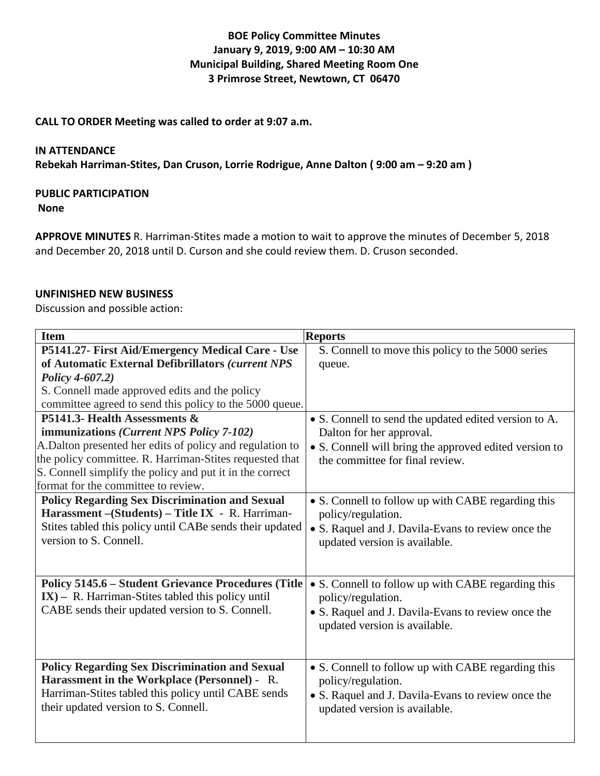# **BOE Policy Committee Minutes January 9, 2019, 9:00 AM – 10:30 AM Municipal Building, Shared Meeting Room One 3 Primrose Street, Newtown, CT 06470**

### **CALL TO ORDER Meeting was called to order at 9:07 a.m.**

#### **IN ATTENDANCE**

**Rebekah Harriman-Stites, Dan Cruson, Lorrie Rodrigue, Anne Dalton ( 9:00 am – 9:20 am )**

### **PUBLIC PARTICIPATION**

**None**

**APPROVE MINUTES** R. Harriman-Stites made a motion to wait to approve the minutes of December 5, 2018 and December 20, 2018 until D. Curson and she could review them. D. Cruson seconded.

### **UNFINISHED NEW BUSINESS**

Discussion and possible action:

| <b>Item</b>                                                                                         | <b>Reports</b>                                         |
|-----------------------------------------------------------------------------------------------------|--------------------------------------------------------|
| P5141.27- First Aid/Emergency Medical Care - Use                                                    | S. Connell to move this policy to the 5000 series      |
| of Automatic External Defibrillators (current NPS                                                   | queue.                                                 |
| Policy 4-607.2)                                                                                     |                                                        |
| S. Connell made approved edits and the policy                                                       |                                                        |
| committee agreed to send this policy to the 5000 queue.                                             |                                                        |
| P5141.3- Health Assessments &                                                                       | • S. Connell to send the updated edited version to A.  |
| immunizations ( <i>Current NPS Policy 7-102</i> )                                                   | Dalton for her approval.                               |
| A.Dalton presented her edits of policy and regulation to                                            | • S. Connell will bring the approved edited version to |
| the policy committee. R. Harriman-Stites requested that                                             | the committee for final review.                        |
| S. Connell simplify the policy and put it in the correct                                            |                                                        |
| format for the committee to review.                                                                 |                                                        |
| <b>Policy Regarding Sex Discrimination and Sexual</b>                                               | • S. Connell to follow up with CABE regarding this     |
| Harassment - (Students) - Title IX - R. Harriman-                                                   | policy/regulation.                                     |
| Stites tabled this policy until CABe sends their updated                                            | • S. Raquel and J. Davila-Evans to review once the     |
| version to S. Connell.                                                                              | updated version is available.                          |
|                                                                                                     |                                                        |
|                                                                                                     |                                                        |
| <b>Policy 5145.6 - Student Grievance Procedures (Title</b>                                          | • S. Connell to follow up with CABE regarding this     |
| $IX$ ) – R. Harriman-Stites tabled this policy until                                                | policy/regulation.                                     |
| CABE sends their updated version to S. Connell.                                                     | • S. Raquel and J. Davila-Evans to review once the     |
|                                                                                                     | updated version is available.                          |
|                                                                                                     |                                                        |
|                                                                                                     |                                                        |
| <b>Policy Regarding Sex Discrimination and Sexual</b>                                               | • S. Connell to follow up with CABE regarding this     |
| Harassment in the Workplace (Personnel) - R.<br>Harriman-Stites tabled this policy until CABE sends | policy/regulation.                                     |
|                                                                                                     | • S. Raquel and J. Davila-Evans to review once the     |
| their updated version to S. Connell.                                                                | updated version is available.                          |
|                                                                                                     |                                                        |
|                                                                                                     |                                                        |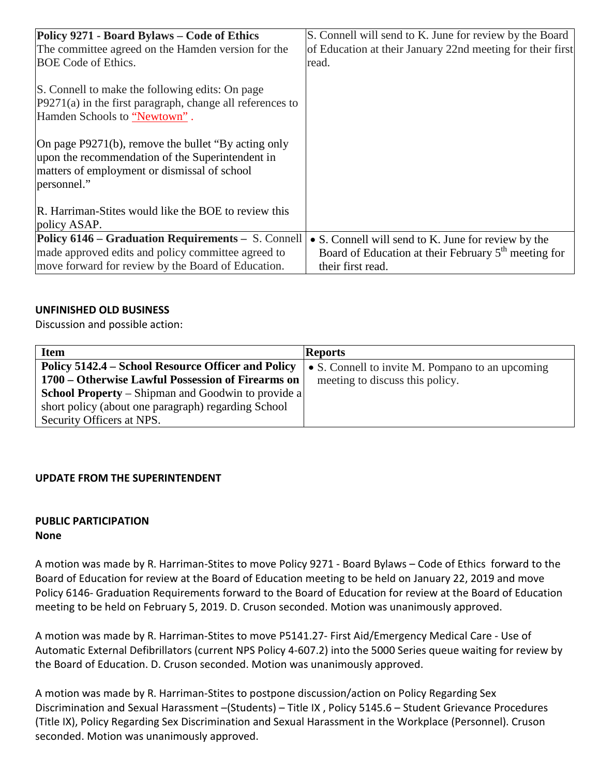| Policy 9271 - Board Bylaws - Code of Ethics<br>The committee agreed on the Hamden version for the<br><b>BOE Code of Ethics.</b>                                        | S. Connell will send to K. June for review by the Board<br>of Education at their January 22nd meeting for their first<br>read. |
|------------------------------------------------------------------------------------------------------------------------------------------------------------------------|--------------------------------------------------------------------------------------------------------------------------------|
| S. Connell to make the following edits: On page<br>$P9271(a)$ in the first paragraph, change all references to<br>Hamden Schools to "Newtown".                         |                                                                                                                                |
| On page P9271(b), remove the bullet "By acting only<br>upon the recommendation of the Superintendent in<br>matters of employment or dismissal of school<br>personnel." |                                                                                                                                |
| R. Harriman-Stites would like the BOE to review this<br>policy ASAP.                                                                                                   |                                                                                                                                |
| Policy 6146 – Graduation Requirements – S. Connell<br>made approved edits and policy committee agreed to                                                               | • S. Connell will send to K. June for review by the<br>Board of Education at their February 5 <sup>th</sup> meeting for        |
| move forward for review by the Board of Education.                                                                                                                     | their first read.                                                                                                              |

## **UNFINISHED OLD BUSINESS**

Discussion and possible action:

| <b>Item</b>                                               | <b>Reports</b>                                   |
|-----------------------------------------------------------|--------------------------------------------------|
| Policy 5142.4 – School Resource Officer and Policy        | • S. Connell to invite M. Pompano to an upcoming |
| 1700 – Otherwise Lawful Possession of Firearms on         | meeting to discuss this policy.                  |
| <b>School Property</b> – Shipman and Goodwin to provide a |                                                  |
| short policy (about one paragraph) regarding School       |                                                  |
| Security Officers at NPS.                                 |                                                  |

## **UPDATE FROM THE SUPERINTENDENT**

### **PUBLIC PARTICIPATION None**

A motion was made by R. Harriman-Stites to move Policy 9271 - Board Bylaws – Code of Ethics forward to the Board of Education for review at the Board of Education meeting to be held on January 22, 2019 and move Policy 6146- Graduation Requirements forward to the Board of Education for review at the Board of Education meeting to be held on February 5, 2019. D. Cruson seconded. Motion was unanimously approved.

A motion was made by R. Harriman-Stites to move P5141.27- First Aid/Emergency Medical Care - Use of Automatic External Defibrillators (current NPS Policy 4-607.2) into the 5000 Series queue waiting for review by the Board of Education. D. Cruson seconded. Motion was unanimously approved.

A motion was made by R. Harriman-Stites to postpone discussion/action on Policy Regarding Sex Discrimination and Sexual Harassment –(Students) – Title IX , Policy 5145.6 – Student Grievance Procedures (Title IX), Policy Regarding Sex Discrimination and Sexual Harassment in the Workplace (Personnel). Cruson seconded. Motion was unanimously approved.